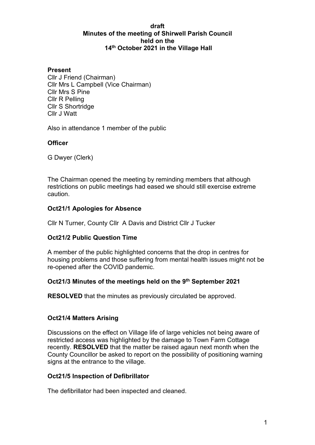#### **draft Minutes of the meeting of Shirwell Parish Council held on the 14th October 2021 in the Village Hall**

#### **Present**

Cllr J Friend (Chairman) Cllr Mrs L Campbell (Vice Chairman) Cllr Mrs S Pine Cllr R Pelling Cllr S Shortridge Cllr J Watt

Also in attendance 1 member of the public

### **Officer**

G Dwyer (Clerk)

The Chairman opened the meeting by reminding members that although restrictions on public meetings had eased we should still exercise extreme caution.

### **Oct21/1 Apologies for Absence**

Cllr N Turner, County Cllr A Davis and District Cllr J Tucker

### **Oct21/2 Public Question Time**

A member of the public highlighted concerns that the drop in centres for housing problems and those suffering from mental health issues might not be re-opened after the COVID pandemic.

### **Oct21/3 Minutes of the meetings held on the 9th September 2021**

**RESOLVED** that the minutes as previously circulated be approved.

### **Oct21/4 Matters Arising**

Discussions on the effect on Village life of large vehicles not being aware of restricted access was highlighted by the damage to Town Farm Cottage recently. **RESOLVED** that the matter be raised agaun next month when the County Councillor be asked to report on the possibility of positioning warning signs at the entrance to the village.

#### **Oct21/5 Inspection of Defibrillator**

The defibrillator had been inspected and cleaned.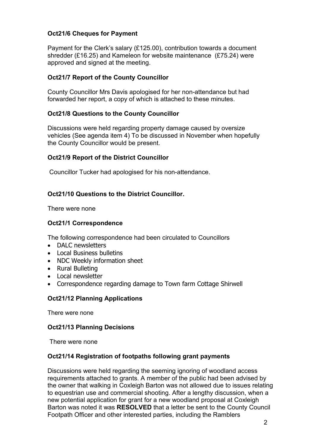# **Oct21/6 Cheques for Payment**

Payment for the Clerk's salary (£125.00), contribution towards a document shredder (£16.25) and Kameleon for website maintenance (£75.24) were approved and signed at the meeting.

### **Oct21/7 Report of the County Councillor**

County Councillor Mrs Davis apologised for her non-attendance but had forwarded her report, a copy of which is attached to these minutes.

### **Oct21/8 Questions to the County Councillor**

Discussions were held regarding property damage caused by oversize vehicles (See agenda item 4) To be discussed in November when hopefully the County Councillor would be present.

### **Oct21/9 Report of the District Councillor**

Councillor Tucker had apologised for his non-attendance.

### **Oct21/10 Questions to the District Councillor.**

There were none

#### **Oct21/1 Correspondence**

The following correspondence had been circulated to Councillors

- DALC newsletters
- Local Business bulletins
- NDC Weekly information sheet
- Rural Bulleting
- Local newsletter
- Correspondence regarding damage to Town farm Cottage Shirwell

#### **Oct21/12 Planning Applications**

There were none

#### **Oct21/13 Planning Decisions**

There were none

#### **Oct21/14 Registration of footpaths following grant payments**

Discussions were held regarding the seeming ignoring of woodland access requirements attached to grants. A member of the public had been advised by the owner that walking in Coxleigh Barton was not allowed due to issues relating to equestrian use and commercial shooting. After a lengthy discussion, when a new potential application for grant for a new woodland proposal at Coxleigh Barton was noted it was **RESOLVED** that a letter be sent to the County Council Footpath Officer and other interested parties, including the Ramblers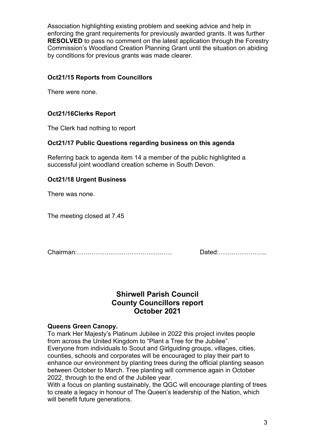Association highlighting existing problem and seeking advice and help in enforcing the grant requirements for previously awarded grants. It was further **RESOLVED** to pass no comment on the latest application through the Forestry Commission's Woodland Creation Planning Grant until the situation on abiding by conditions for previous grants was made clearer.

## **Oct21/15 Reports from Councillors**

There were none.

# **Oct21/16Clerks Report**

The Clerk had nothing to report

### **Oct21/17 Public Questions regarding business on this agenda**

Referring back to agenda item 14 a member of the public highlighted a successful joint woodland creation scheme in South Devon.

### **Oct21/18 Urgent Business**

There was none.

The meeting closed at 7.45

Chairman:……………………………………… Dated:…………………..

# **Shirwell Parish Council County Councillors report October 2021**

#### **Queens Green Canopy.**

To mark Her Majesty's Platinum Jubilee in 2022 this project invites people from across the United Kingdom to "Plant a Tree for the Jubilee". Everyone from individuals to Scout and Girlguiding groups, villages, cities, counties, schools and corporates will be encouraged to play their part to enhance our environment by planting trees during the official planting season between October to March. Tree planting will commence again in October 2022, through to the end of the Jubilee year.

With a focus on planting sustainably, the QGC will encourage planting of trees to create a legacy in honour of The Queen's leadership of the Nation, which will benefit future generations.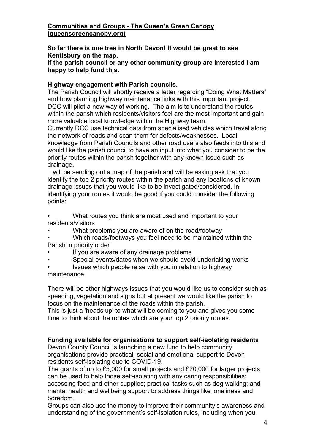### **[Communities and Groups - The Queen's Green Canopy](https://queensgreencanopy.org/get-involved/communities-and-groups/)  [\(queensgreencanopy.org\)](https://queensgreencanopy.org/get-involved/communities-and-groups/)**

**So far there is one tree in North Devon! It would be great to see Kentisbury on the map.**

**If the parish council or any other community group are interested I am happy to help fund this.**

### **Highway engagement with Parish councils.**

The Parish Council will shortly receive a letter regarding "Doing What Matters" and how planning highway maintenance links with this important project. DCC will pilot a new way of working. The aim is to understand the routes within the parish which residents/visitors feel are the most important and gain more valuable local knowledge within the Highway team.

Currently DCC use technical data from specialised vehicles which travel along the network of roads and scan them for defects/weaknesses. Local knowledge from Parish Councils and other road users also feeds into this and would like the parish council to have an input into what you consider to be the priority routes within the parish together with any known issue such as drainage.

I will be sending out a map of the parish and will be asking ask that you identify the top 2 priority routes within the parish and any locations of known drainage issues that you would like to be investigated/considered. In identifying your routes it would be good if you could consider the following points:

• What routes you think are most used and important to your residents/visitors

- What problems you are aware of on the road/footway
- Which roads/footways you feel need to be maintained within the Parish in priority order
- If you are aware of any drainage problems
- Special events/dates when we should avoid undertaking works
- Issues which people raise with you in relation to highway maintenance

There will be other highways issues that you would like us to consider such as speeding, vegetation and signs but at present we would like the parish to focus on the maintenance of the roads within the parish.

This is just a 'heads up' to what will be coming to you and gives you some time to think about the routes which are your top 2 priority routes.

#### **Funding available for organisations to support self-isolating residents**

Devon County Council is launching a new fund to help community organisations provide practical, social and emotional support to Devon residents self-isolating due to COVID-19.

The grants of up to £5,000 for small projects and £20,000 for larger projects can be used to help those self-isolating with any caring responsibilities; accessing food and other supplies; practical tasks such as dog walking; and mental health and wellbeing support to address things like loneliness and boredom.

Groups can also use the money to improve their community's awareness and understanding of the government's self-isolation rules, including when you